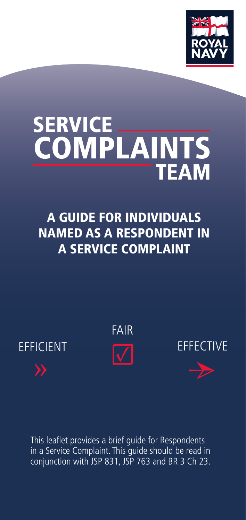

# SERVICE TEAM **COMPLAINTS**

A GUIDE FOR INDIVIDUALS NAMED AS A RESPONDENT IN A SERVICE COMPLAINT



This leaflet provides a brief guide for Respondents in a Service Complaint. This quide should be read in conjunction with JSP 831, JSP 763 and BR 3 Ch 23.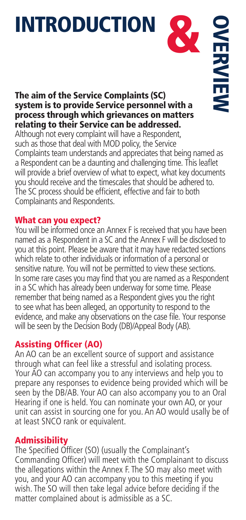# **INTRODUCTION**

# The aim of the Service Complaints (SC) system is to provide Service personnel with a process through which grievances on matters relating to their Service can be addressed.

**OVERVIEW** 

Although not every complaint will have a Respondent, such as those that deal with MOD policy, the Service Complaints team understands and appreciates that being named as a Respondent can be a daunting and challenging time. This leaflet will provide a brief overview of what to expect, what key documents you should receive and the timescales that should be adhered to. The SC process should be efficient, effective and fair to both Complainants and Respondents.

### What can you expect?

You will be informed once an Annex F is received that you have been named as a Respondent in a SC and the Annex F will be disclosed to you at this point. Please be aware that it may have redacted sections which relate to other individuals or information of a personal or sensitive nature. You will not be permitted to view these sections. In some rare cases you may find that you are named as a Respondent in a SC which has already been underway for some time. Please remember that being named as a Respondent gives you the right to see what has been alleged, an opportunity to respond to the evidence, and make any observations on the case file. Your response will be seen by the Decision Body (DB)/Appeal Body (AB).

# Assisting Officer (AO)

An AO can be an excellent source of support and assistance through what can feel like a stressful and isolating process. Your AO can accompany you to any interviews and help you to prepare any responses to evidence being provided which will be seen by the DB/AB. Your AO can also accompany you to an Oral Hearing if one is held. You can nominate your own AO, or your unit can assist in sourcing one for you. An AO would usally be of at least SNCO rank or equivalent.

# Admissibility

The Specified Officer (SO) (usually the Complainant's Commanding Officer) will meet with the Complainant to discuss the allegations within the Annex F. The SO may also meet with you, and your AO can accompany you to this meeting if you wish. The SO will then take legal advice before deciding if the matter complained about is admissible as a SC.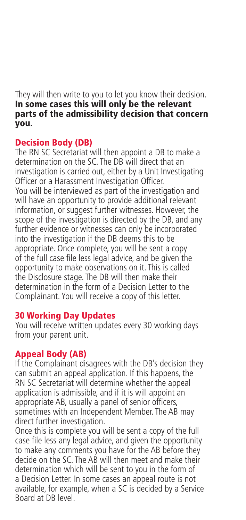They will then write to you to let you know their decision. In some cases this will only be the relevant parts of the admissibility decision that concern you.

#### Decision Body (DB)

The RN SC Secretariat will then appoint a DB to make a determination on the SC. The DB will direct that an investigation is carried out, either by a Unit Investigating Officer or a Harassment Investigation Officer. You will be interviewed as part of the investigation and will have an opportunity to provide additional relevant information, or suggest further witnesses. However, the scope of the investigation is directed by the DB, and any further evidence or witnesses can only be incorporated into the investigation if the DB deems this to be appropriate. Once complete, you will be sent a copy of the full case file less legal advice, and be given the opportunity to make observations on it. This is called the Disclosure stage. The DB will then make their determination in the form of a Decision Letter to the Complainant. You will receive a copy of this letter.

# 30 Working Day Updates

You will receive written updates every 30 working days from your parent unit.

# Appeal Body (AB)

If the Complainant disagrees with the DB's decision they can submit an appeal application. If this happens, the RN SC Secretariat will determine whether the appeal application is admissible, and if it is will appoint an appropriate AB, usually a panel of senior officers, sometimes with an Independent Member. The AB may direct further investigation.

Once this is complete you will be sent a copy of the full case file less any legal advice, and given the opportunity to make any comments you have for the AB before they decide on the SC. The AB will then meet and make their determination which will be sent to you in the form of a Decision Letter. In some cases an appeal route is not available, for example, when a SC is decided by a Service Board at DB level.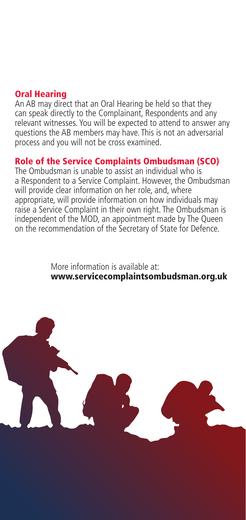# Oral Hearing

An AB may direct that an Oral Hearing be held so that they can speak directly to the Complainant, Respondents and any relevant witnesses. You will be expected to attend to answer any questions the AB members may have. This is not an adversarial process and you will not be cross examined.

# Role of the Service Complaints Ombudsman (SCO)

The Ombudsman is unable to assist an individual who is a Respondent to a Service Complaint. However, the Ombudsman will provide clear information on her role, and, where appropriate, will provide information on how individuals may raise a Service Complaint in their own right. The Ombudsman is independent of the MOD, an appointment made by The Queen on the recommendation of the Secretary of State for Defence.

> More information is available at: www.servicecomplaintsombudsman.org.uk

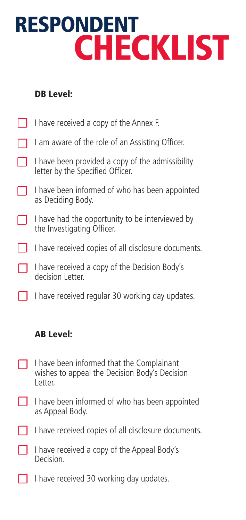# RESPONDENT **CHECKLIST**

# DB Level:

| I have received a copy of the Annex F.                                               |
|--------------------------------------------------------------------------------------|
| I am aware of the role of an Assisting Officer.                                      |
| I have been provided a copy of the admissibility<br>letter by the Specified Officer. |
| I have been informed of who has been appointed<br>as Deciding Body.                  |
| I have had the opportunity to be interviewed by<br>the Investigating Officer.        |
| I have received copies of all disclosure documents.                                  |
| I have received a copy of the Decision Body's<br>decision Letter.                    |
|                                                                                      |

#### I have received regular 30 working day updates. ☐

# AB Level:

- I have been informed that the Complainant wishes to appeal the Decision Body's Decision Letter. ☐
- I have been informed of who has been appointed as Appeal Body. ☐

**□** I have received copies of all disclosure documents.

□ I have received a copy of the Appeal Body's Decision.

□ I have received 30 working day updates.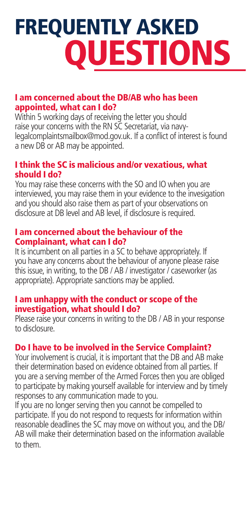# FREQUENTLY ASKED **OUESTIONS**

#### I am concerned about the DB/AB who has been appointed, what can I do?

Within 5 working days of receiving the letter you should raise your concerns with the RN SC Secretariat, via navylegalcomplaintsmailbox@mod.gov.uk. If a conflict of interest is found a new DB or AB may be appointed.

# I think the SC is malicious and/or vexatious, what should I do?

You may raise these concerns with the SO and IO when you are interviewed, you may raise them in your evidence to the invesigation and you should also raise them as part of your observations on disclosure at DB level and AB level, if disclosure is required.

#### I am concerned about the behaviour of the Complainant, what can I do?

It is incumbent on all parties in a SC to behave appropriately. If you have any concerns about the behaviour of anyone please raise this issue, in writing, to the DB / AB / investigator / caseworker (as appropriate). Appropriate sanctions may be applied.

# I am unhappy with the conduct or scope of the investigation, what should I do?

Please raise your concerns in writing to the DB / AB in your response to disclosure.

# Do I have to be involved in the Service Complaint?

Your involvement is crucial, it is important that the DB and AB make their determination based on evidence obtained from all parties. If you are a serving member of the Armed Forces then you are obliged to participate by making yourself available for interview and by timely responses to any communication made to you.

If you are no longer serving then you cannot be compelled to participate. If you do not respond to requests for information within reasonable deadlines the SC may move on without you, and the DB/ AB will make their determination based on the information available to them.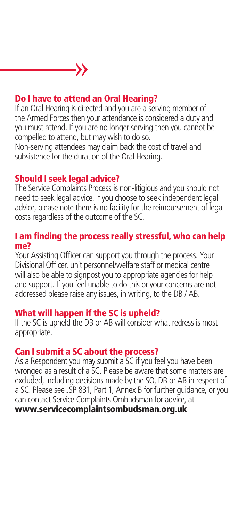# Do I have to attend an Oral Hearing?

»

If an Oral Hearing is directed and you are a serving member of the Armed Forces then your attendance is considered a duty and you must attend. If you are no longer serving then you cannot be compelled to attend, but may wish to do so.

Non-serving attendees may claim back the cost of travel and subsistence for the duration of the Oral Hearing.

### Should I seek legal advice?

The Service Complaints Process is non-litigious and you should not need to seek legal advice. If you choose to seek independent legal advice, please note there is no facility for the reimbursement of legal costs regardless of the outcome of the SC.

#### I am finding the process really stressful, who can help me?

Your Assisting Officer can support you through the process. Your Divisional Officer, unit personnel/welfare staff or medical centre will also be able to signpost you to appropriate agencies for help and support. If you feel unable to do this or your concerns are not addressed please raise any issues, in writing, to the DB / AB.

### What will happen if the SC is upheld?

If the SC is upheld the DB or AB will consider what redress is most appropriate.

### Can I submit a SC about the process?

As a Respondent you may submit a SC if you feel you have been wronged as a result of a SC. Please be aware that some matters are excluded, including decisions made by the SO, DB or AB in respect of a SC. Please see JSP 831, Part 1, Annex B for further guidance, or you can contact Service Complaints Ombudsman for advice, at www.servicecomplaintsombudsman.org.uk